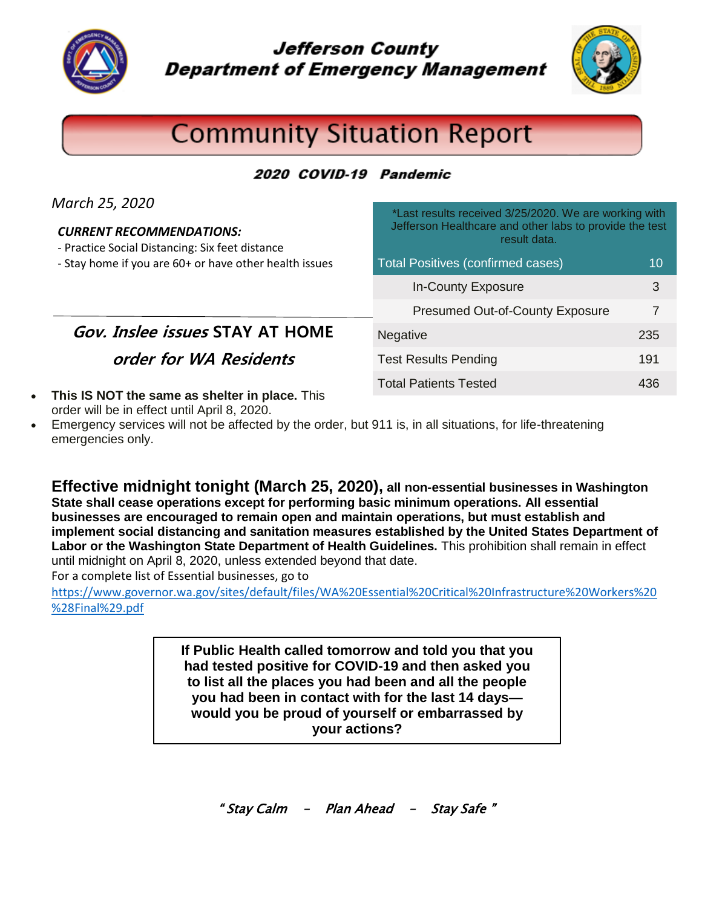

**Jefferson County Department of Emergency Management** 



# **Community Situation Report**

#### 2020 COVID-19 Pandemic

| March 25, 2020<br><b>CURRENT RECOMMENDATIONS:</b><br>- Practice Social Distancing: Six feet distance | *Last results received 3/25/2020. We are working with<br>Jefferson Healthcare and other labs to provide the test<br>result data. |     |
|------------------------------------------------------------------------------------------------------|----------------------------------------------------------------------------------------------------------------------------------|-----|
| - Stay home if you are 60+ or have other health issues                                               | <b>Total Positives (confirmed cases)</b>                                                                                         | 10  |
|                                                                                                      | <b>In-County Exposure</b>                                                                                                        | 3   |
|                                                                                                      | <b>Presumed Out-of-County Exposure</b>                                                                                           |     |
| <b>Gov. Inslee issues STAY AT HOME</b>                                                               | <b>Negative</b>                                                                                                                  | 235 |
| order for WA Residents                                                                               | <b>Test Results Pending</b>                                                                                                      | 191 |
| • This IS NOT the same as shelter in place. This<br>order will be in effect until April 8, 2020.     | <b>Total Patients Tested</b>                                                                                                     | 436 |

 Emergency services will not be affected by the order, but 911 is, in all situations, for life-threatening emergencies only.

**Effective midnight tonight (March 25, 2020), all non-essential businesses in Washington State shall cease operations except for performing basic minimum operations. All essential businesses are encouraged to remain open and maintain operations, but must establish and implement social distancing and sanitation measures established by the United States Department of Labor or the Washington State Department of Health Guidelines.** This prohibition shall remain in effect until midnight on April 8, 2020, unless extended beyond that date.

For a complete list of Essential businesses, go to

[https://www.governor.wa.gov/sites/default/files/WA%20Essential%20Critical%20Infrastructure%20Workers%20](https://www.governor.wa.gov/sites/default/files/WA%20Essential%20Critical%20Infrastructure%20Workers%20%28Final%29.pdf) [%28Final%29.pdf](https://www.governor.wa.gov/sites/default/files/WA%20Essential%20Critical%20Infrastructure%20Workers%20%28Final%29.pdf)

> **had tested positive for COVID-19 and then asked you you had been in contact with for the last 14 days— your actions?If Public Health called tomorrow and told you that you to list all the places you had been and all the people would you be proud of yourself or embarrassed by**

> > " Stay Calm – Plan Ahead – Stay Safe "